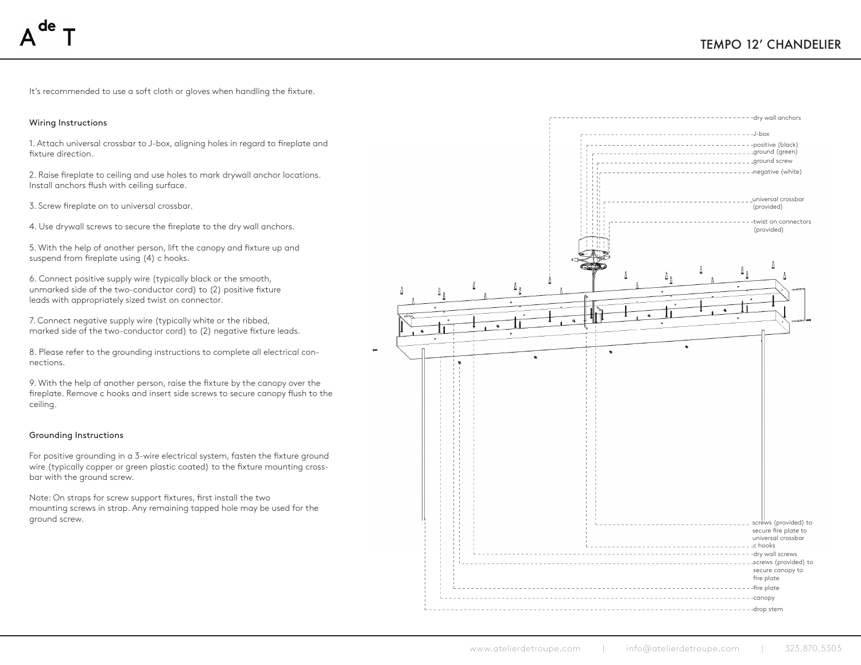It's recommended to use a soft cloth or gloves when handling the fixture.

## Wiring Instructions

1. Attach universal crossbar to J-box, aligning holes in regard to fireplate and fixture direction.

2. Raise fireplate to ceiling and use holes to mark drywall anchor locations. Install anchors flush with ceiling surface.

3. Screw fireplate on to universal crossbar.

4. Use drywall screws to secure the fireplate to the dry wall anchors.

5. With the help of another person, lift the canopy and fixture up and suspend from fireplate using (4) c hooks.

6. Connect positive supply wire (typically black or the smooth, unmarked side of the two-conductor cord) to (2) positive fixture leads with appropriately sized twist on connector.

7. Connect negative supply wire (typically white or the ribbed, marked side of the two-conductor cord) to (2) negative fixture leads.

8. Please refer to the grounding instructions to complete all electrical connections.

9. With the help of another person, raise the fixture by the canopy over the fireplate. Remove c hooks and insert side screws to secure canopy flush to the ceiling.

## Grounding Instructions

For positive grounding in a 3-wire electrical system, fasten the fixture ground wire (typically copper or green plastic coated) to the fixture mounting crossbar with the ground screw.

Note: On straps for screw support fixtures, first install the two mounting screws in strap. Any remaining tapped hole may be used for the ground screw.